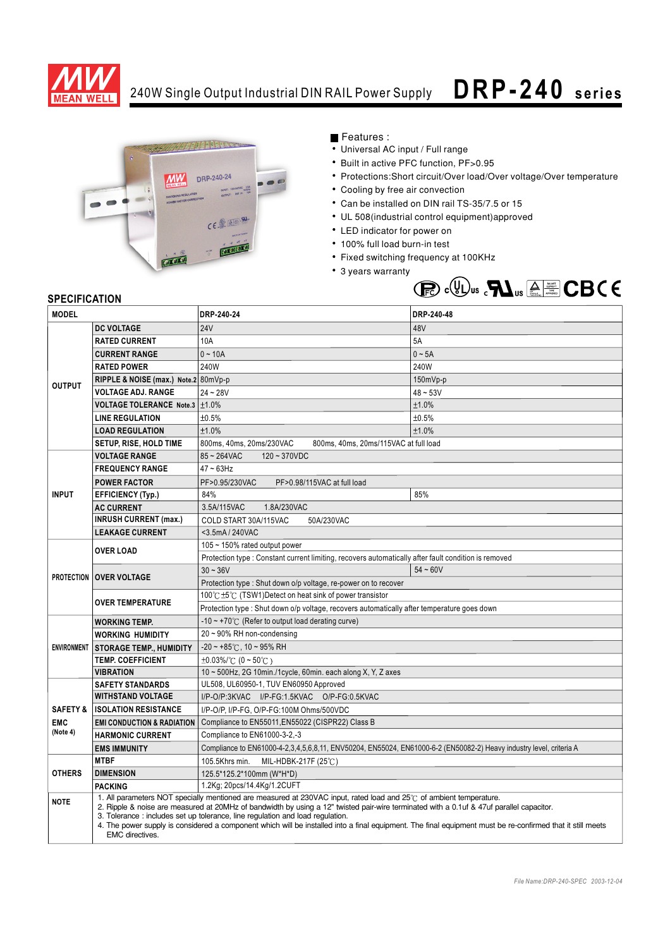

## 240W Single Output Industrial DIN RAIL Power Supply  $\Box$  **R P - 240 series**



## Features :

- Universal AC input / Full range
- Built in active PFC function, PF>0.95
- Protections:Short circuit/Over load/Over voltage/Over temperature
- Cooling by free air convection
- Can be installed on DIN rail TS-35/7.5 or 15
- UL 508(industrial control equipment)approved
- LED indicator for power on
- 100% full load burn-in test
- Fixed switching frequency at 100KHz
- 3 years warranty



## **SPECIFICATION**

| <b>MODEL</b>           |                                                                                                                                                                                                                                                                                                                                                                                                                                                                                                                                   | DRP-240-24                                                                                                          | DRP-240-48 |  |
|------------------------|-----------------------------------------------------------------------------------------------------------------------------------------------------------------------------------------------------------------------------------------------------------------------------------------------------------------------------------------------------------------------------------------------------------------------------------------------------------------------------------------------------------------------------------|---------------------------------------------------------------------------------------------------------------------|------------|--|
| <b>OUTPUT</b>          | <b>DC VOLTAGE</b>                                                                                                                                                                                                                                                                                                                                                                                                                                                                                                                 | <b>24V</b>                                                                                                          | 48V        |  |
|                        | <b>RATED CURRENT</b>                                                                                                                                                                                                                                                                                                                                                                                                                                                                                                              | 10A                                                                                                                 | 5A         |  |
|                        | <b>CURRENT RANGE</b>                                                                                                                                                                                                                                                                                                                                                                                                                                                                                                              | $0 - 10A$                                                                                                           | $0 - 5A$   |  |
|                        | <b>RATED POWER</b>                                                                                                                                                                                                                                                                                                                                                                                                                                                                                                                | 240W                                                                                                                | 240W       |  |
|                        | RIPPLE & NOISE (max.) Note.2 80mVp-p                                                                                                                                                                                                                                                                                                                                                                                                                                                                                              |                                                                                                                     | 150mVp-p   |  |
|                        | <b>VOLTAGE ADJ. RANGE</b>                                                                                                                                                                                                                                                                                                                                                                                                                                                                                                         | $24 - 28V$                                                                                                          | $48 - 53V$ |  |
|                        | VOLTAGE TOLERANCE Note.3   ±1.0%                                                                                                                                                                                                                                                                                                                                                                                                                                                                                                  |                                                                                                                     | ±1.0%      |  |
|                        | <b>LINE REGULATION</b>                                                                                                                                                                                                                                                                                                                                                                                                                                                                                                            | ±0.5%                                                                                                               | ±0.5%      |  |
|                        | <b>LOAD REGULATION</b>                                                                                                                                                                                                                                                                                                                                                                                                                                                                                                            | ±1.0%                                                                                                               | ±1.0%      |  |
|                        | <b>SETUP, RISE, HOLD TIME</b>                                                                                                                                                                                                                                                                                                                                                                                                                                                                                                     | 800ms, 40ms, 20ms/230VAC<br>800ms, 40ms, 20ms/115VAC at full load                                                   |            |  |
| <b>INPUT</b>           | <b>VOLTAGE RANGE</b>                                                                                                                                                                                                                                                                                                                                                                                                                                                                                                              | $85 - 264$ VAC<br>$120 - 370VDC$                                                                                    |            |  |
|                        | <b>FREQUENCY RANGE</b>                                                                                                                                                                                                                                                                                                                                                                                                                                                                                                            | $47 - 63$ Hz                                                                                                        |            |  |
|                        | <b>POWER FACTOR</b>                                                                                                                                                                                                                                                                                                                                                                                                                                                                                                               | PF>0.95/230VAC<br>PF>0.98/115VAC at full load                                                                       |            |  |
|                        | <b>EFFICIENCY (Typ.)</b>                                                                                                                                                                                                                                                                                                                                                                                                                                                                                                          | 84%                                                                                                                 | 85%        |  |
|                        | <b>AC CURRENT</b>                                                                                                                                                                                                                                                                                                                                                                                                                                                                                                                 | 3.5A/115VAC<br>1.8A/230VAC                                                                                          |            |  |
|                        | <b>INRUSH CURRENT (max.)</b>                                                                                                                                                                                                                                                                                                                                                                                                                                                                                                      | COLD START 30A/115VAC<br>50A/230VAC                                                                                 |            |  |
|                        | <b>LEAKAGE CURRENT</b>                                                                                                                                                                                                                                                                                                                                                                                                                                                                                                            | <3.5mA / 240VAC                                                                                                     |            |  |
|                        | <b>OVER LOAD</b>                                                                                                                                                                                                                                                                                                                                                                                                                                                                                                                  | 105 $\sim$ 150% rated output power                                                                                  |            |  |
|                        |                                                                                                                                                                                                                                                                                                                                                                                                                                                                                                                                   | Protection type : Constant current limiting, recovers automatically after fault condition is removed                |            |  |
|                        | <b>PROTECTION OVER VOLTAGE</b>                                                                                                                                                                                                                                                                                                                                                                                                                                                                                                    | $30 - 36V$                                                                                                          | $54 - 60V$ |  |
|                        |                                                                                                                                                                                                                                                                                                                                                                                                                                                                                                                                   | Protection type: Shut down o/p voltage, re-power on to recover                                                      |            |  |
|                        | <b>OVER TEMPERATURE</b>                                                                                                                                                                                                                                                                                                                                                                                                                                                                                                           | 100℃±5℃ (TSW1)Detect on heat sink of power transistor                                                               |            |  |
|                        |                                                                                                                                                                                                                                                                                                                                                                                                                                                                                                                                   | Protection type : Shut down o/p voltage, recovers automatically after temperature goes down                         |            |  |
| <b>ENVIRONMENT</b>     | <b>WORKING TEMP.</b>                                                                                                                                                                                                                                                                                                                                                                                                                                                                                                              | $-10 \sim +70^{\circ}$ (Refer to output load derating curve)                                                        |            |  |
|                        | <b>WORKING HUMIDITY</b>                                                                                                                                                                                                                                                                                                                                                                                                                                                                                                           | 20 ~ 90% RH non-condensing                                                                                          |            |  |
|                        | <b>STORAGE TEMP., HUMIDITY</b>                                                                                                                                                                                                                                                                                                                                                                                                                                                                                                    | $-20 \sim +85^{\circ}$ C, 10 ~ 95% RH                                                                               |            |  |
|                        | <b>TEMP. COEFFICIENT</b>                                                                                                                                                                                                                                                                                                                                                                                                                                                                                                          | $\pm 0.03\%$ /°C (0 ~ 50°C)                                                                                         |            |  |
|                        | <b>VIBRATION</b>                                                                                                                                                                                                                                                                                                                                                                                                                                                                                                                  | 10 ~ 500Hz, 2G 10min./1cycle, 60min. each along X, Y, Z axes                                                        |            |  |
|                        | <b>SAFETY STANDARDS</b>                                                                                                                                                                                                                                                                                                                                                                                                                                                                                                           | UL508, UL60950-1, TUV EN60950 Approved                                                                              |            |  |
|                        | <b>WITHSTAND VOLTAGE</b>                                                                                                                                                                                                                                                                                                                                                                                                                                                                                                          | I/P-O/P:3KVAC I/P-FG:1.5KVAC O/P-FG:0.5KVAC                                                                         |            |  |
| <b>SAFETY &amp;</b>    | <b>ISOLATION RESISTANCE</b>                                                                                                                                                                                                                                                                                                                                                                                                                                                                                                       | I/P-O/P, I/P-FG, O/P-FG:100M Ohms/500VDC                                                                            |            |  |
| <b>EMC</b><br>(Note 4) | <b>EMI CONDUCTION &amp; RADIATION</b>                                                                                                                                                                                                                                                                                                                                                                                                                                                                                             | Compliance to EN55011, EN55022 (CISPR22) Class B                                                                    |            |  |
|                        | <b>HARMONIC CURRENT</b>                                                                                                                                                                                                                                                                                                                                                                                                                                                                                                           | Compliance to EN61000-3-2,-3                                                                                        |            |  |
|                        | <b>EMS IMMUNITY</b>                                                                                                                                                                                                                                                                                                                                                                                                                                                                                                               | Compliance to EN61000-4-2,3,4,5,6,8,11, ENV50204, EN55024, EN61000-6-2 (EN50082-2) Heavy industry level, criteria A |            |  |
| <b>OTHERS</b>          | <b>MTBF</b>                                                                                                                                                                                                                                                                                                                                                                                                                                                                                                                       | 105.5Khrs min.<br>MIL-HDBK-217F (25 $\degree$ C)                                                                    |            |  |
|                        | <b>DIMENSION</b>                                                                                                                                                                                                                                                                                                                                                                                                                                                                                                                  | 125.5*125.2*100mm (W*H*D)                                                                                           |            |  |
|                        | <b>PACKING</b>                                                                                                                                                                                                                                                                                                                                                                                                                                                                                                                    | 1.2Kg; 20pcs/14.4Kg/1.2CUFT                                                                                         |            |  |
| <b>NOTE</b>            | 1. All parameters NOT specially mentioned are measured at 230VAC input, rated load and 25°C of ambient temperature.<br>2. Ripple & noise are measured at 20MHz of bandwidth by using a 12" twisted pair-wire terminated with a 0.1uf & 47uf parallel capacitor.<br>3. Tolerance: includes set up tolerance, line regulation and load regulation.<br>4. The power supply is considered a component which will be installed into a final equipment. The final equipment must be re-confirmed that it still meets<br>EMC directives. |                                                                                                                     |            |  |